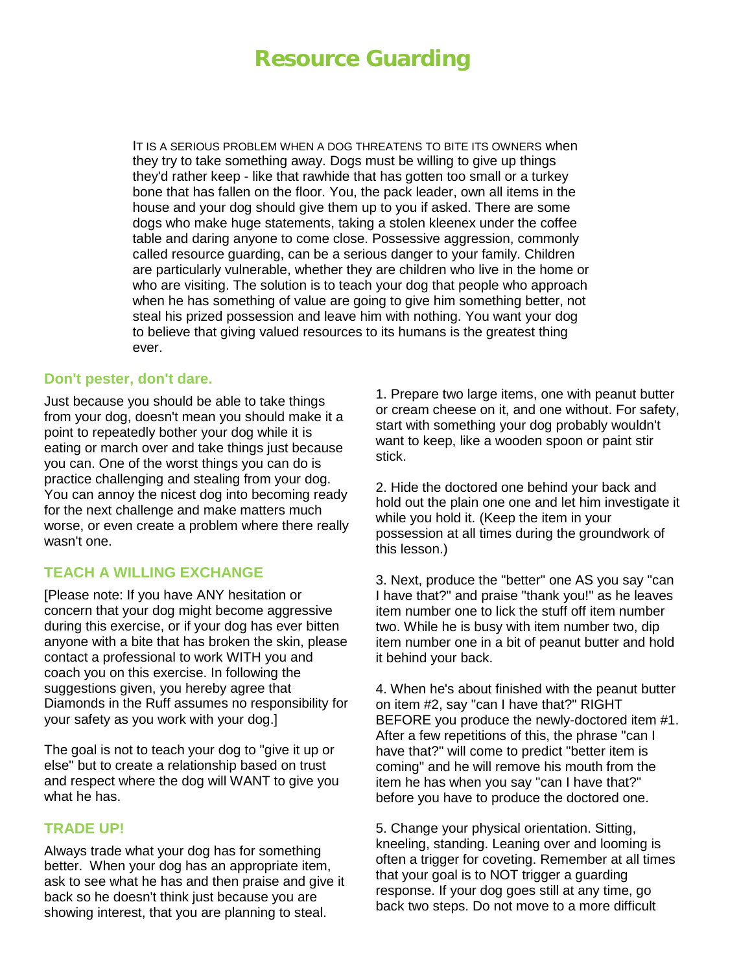# **Resource Guarding**

IT IS A SERIOUS PROBLEM WHEN A DOG THREATENS TO BITE ITS OWNERS when they try to take something away. Dogs must be willing to give up things they'd rather keep - like that rawhide that has gotten too small or a turkey bone that has fallen on the floor. You, the pack leader, own all items in the house and your dog should give them up to you if asked. There are some dogs who make huge statements, taking a stolen kleenex under the coffee table and daring anyone to come close. Possessive aggression, commonly called resource guarding, can be a serious danger to your family. Children are particularly vulnerable, whether they are children who live in the home or who are visiting. The solution is to teach your dog that people who approach when he has something of value are going to give him something better, not steal his prized possession and leave him with nothing. You want your dog to believe that giving valued resources to its humans is the greatest thing ever.

#### **Don't pester, don't dare.**

Just because you should be able to take things from your dog, doesn't mean you should make it a point to repeatedly bother your dog while it is eating or march over and take things just because you can. One of the worst things you can do is practice challenging and stealing from your dog. You can annoy the nicest dog into becoming ready for the next challenge and make matters much worse, or even create a problem where there really wasn't one.

## **TEACH A WILLING EXCHANGE**

[Please note: If you have ANY hesitation or concern that your dog might become aggressive during this exercise, or if your dog has ever bitten anyone with a bite that has broken the skin, please contact a professional to work WITH you and coach you on this exercise. In following the suggestions given, you hereby agree that Diamonds in the Ruff assumes no responsibility for your safety as you work with your dog.]

The goal is not to teach your dog to "give it up or else" but to create a relationship based on trust and respect where the dog will WANT to give you what he has.

#### **TRADE UP!**

Always trade what your dog has for something better. When your dog has an appropriate item, ask to see what he has and then praise and give it back so he doesn't think just because you are showing interest, that you are planning to steal.

1. Prepare two large items, one with peanut butter or cream cheese on it, and one without. For safety, start with something your dog probably wouldn't want to keep, like a wooden spoon or paint stir stick.

2. Hide the doctored one behind your back and hold out the plain one one and let him investigate it while you hold it. (Keep the item in your possession at all times during the groundwork of this lesson.)

3. Next, produce the "better" one AS you say "can I have that?" and praise "thank you!" as he leaves item number one to lick the stuff off item number two. While he is busy with item number two, dip item number one in a bit of peanut butter and hold it behind your back.

4. When he's about finished with the peanut butter on item #2, say "can I have that?" RIGHT BEFORE you produce the newly-doctored item #1. After a few repetitions of this, the phrase "can I have that?" will come to predict "better item is coming" and he will remove his mouth from the item he has when you say "can I have that?" before you have to produce the doctored one.

5. Change your physical orientation. Sitting, kneeling, standing. Leaning over and looming is often a trigger for coveting. Remember at all times that your goal is to NOT trigger a guarding response. If your dog goes still at any time, go back two steps. Do not move to a more difficult